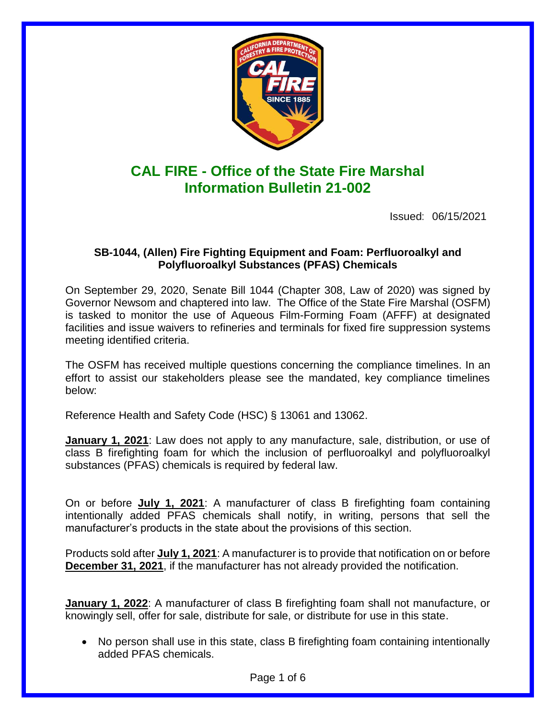

# **CAL FIRE - Office of the State Fire Marshal Information Bulletin 21-002**

Issued: 06/15/2021

### **SB-1044, (Allen) Fire Fighting Equipment and Foam: Perfluoroalkyl and Polyfluoroalkyl Substances (PFAS) Chemicals**

On September 29, 2020, Senate Bill 1044 (Chapter 308, Law of 2020) was signed by Governor Newsom and chaptered into law. The Office of the State Fire Marshal (OSFM) is tasked to monitor the use of Aqueous Film-Forming Foam (AFFF) at designated facilities and issue waivers to refineries and terminals for fixed fire suppression systems meeting identified criteria.

The OSFM has received multiple questions concerning the compliance timelines. In an effort to assist our stakeholders please see the mandated, key compliance timelines below:

Reference Health and Safety Code (HSC) § 13061 and 13062.

**January 1, 2021**: Law does not apply to any manufacture, sale, distribution, or use of class B firefighting foam for which the inclusion of perfluoroalkyl and polyfluoroalkyl substances (PFAS) chemicals is required by federal law.

On or before **July 1, 2021**: A manufacturer of class B firefighting foam containing intentionally added PFAS chemicals shall notify, in writing, persons that sell the manufacturer's products in the state about the provisions of this section.

Products sold after **July 1, 2021**: A manufacturer is to provide that notification on or before **December 31, 2021**, if the manufacturer has not already provided the notification.

**January 1, 2022**: A manufacturer of class B firefighting foam shall not manufacture, or knowingly sell, offer for sale, distribute for sale, or distribute for use in this state.

 No person shall use in this state, class B firefighting foam containing intentionally added PFAS chemicals.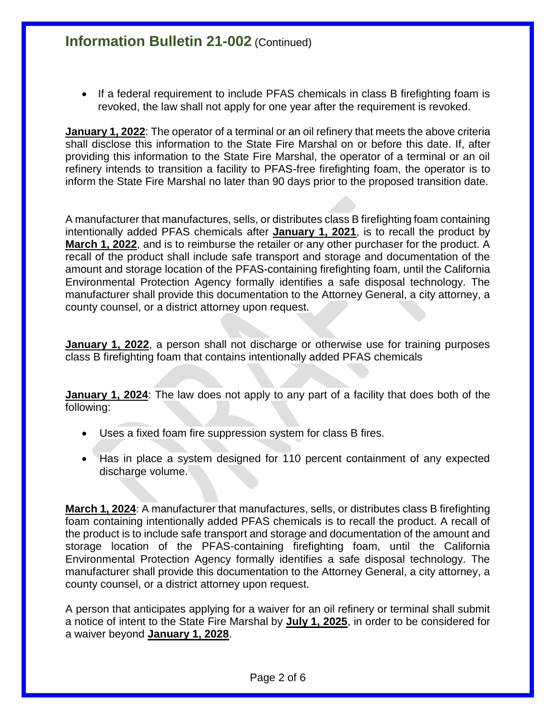• If a federal requirement to include PFAS chemicals in class B firefighting foam is revoked, the law shall not apply for one year after the requirement is revoked.

**January 1, 2022**: The operator of a terminal or an oil refinery that meets the above criteria shall disclose this information to the State Fire Marshal on or before this date. If, after providing this information to the State Fire Marshal, the operator of a terminal or an oil refinery intends to transition a facility to PFAS-free firefighting foam, the operator is to inform the State Fire Marshal no later than 90 days prior to the proposed transition date.

A manufacturer that manufactures, sells, or distributes class B firefighting foam containing intentionally added PFAS chemicals after **January 1, 2021**, is to recall the product by **March 1, 2022**, and is to reimburse the retailer or any other purchaser for the product. A recall of the product shall include safe transport and storage and documentation of the amount and storage location of the PFAS-containing firefighting foam, until the California Environmental Protection Agency formally identifies a safe disposal technology. The manufacturer shall provide this documentation to the Attorney General, a city attorney, a county counsel, or a district attorney upon request.

**January 1, 2022**, a person shall not discharge or otherwise use for training purposes class B firefighting foam that contains intentionally added PFAS chemicals

**January 1, 2024**: The law does not apply to any part of a facility that does both of the following:

- Uses a fixed foam fire suppression system for class B fires.
- Has in place a system designed for 110 percent containment of any expected discharge volume.

**March 1, 2024**: A manufacturer that manufactures, sells, or distributes class B firefighting foam containing intentionally added PFAS chemicals is to recall the product. A recall of the product is to include safe transport and storage and documentation of the amount and storage location of the PFAS-containing firefighting foam, until the California Environmental Protection Agency formally identifies a safe disposal technology. The manufacturer shall provide this documentation to the Attorney General, a city attorney, a county counsel, or a district attorney upon request.

A person that anticipates applying for a waiver for an oil refinery or terminal shall submit a notice of intent to the State Fire Marshal by **July 1, 2025**, in order to be considered for a waiver beyond **January 1, 2028**.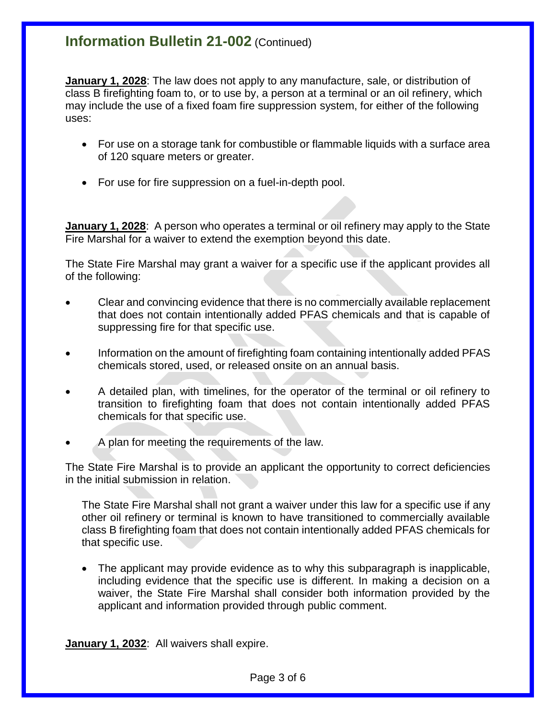**January 1, 2028**: The law does not apply to any manufacture, sale, or distribution of class B firefighting foam to, or to use by, a person at a terminal or an oil refinery, which may include the use of a fixed foam fire suppression system, for either of the following uses:

- For use on a storage tank for combustible or flammable liquids with a surface area of 120 square meters or greater.
- For use for fire suppression on a fuel-in-depth pool.

**January 1, 2028**: A person who operates a terminal or oil refinery may apply to the State Fire Marshal for a waiver to extend the exemption beyond this date.

The State Fire Marshal may grant a waiver for a specific use if the applicant provides all of the following:

- Clear and convincing evidence that there is no commercially available replacement that does not contain intentionally added PFAS chemicals and that is capable of suppressing fire for that specific use.
- Information on the amount of firefighting foam containing intentionally added PFAS chemicals stored, used, or released onsite on an annual basis.
- A detailed plan, with timelines, for the operator of the terminal or oil refinery to transition to firefighting foam that does not contain intentionally added PFAS chemicals for that specific use.
- A plan for meeting the requirements of the law.

The State Fire Marshal is to provide an applicant the opportunity to correct deficiencies in the initial submission in relation.

The State Fire Marshal shall not grant a waiver under this law for a specific use if any other oil refinery or terminal is known to have transitioned to commercially available class B firefighting foam that does not contain intentionally added PFAS chemicals for that specific use.

 The applicant may provide evidence as to why this subparagraph is inapplicable, including evidence that the specific use is different. In making a decision on a waiver, the State Fire Marshal shall consider both information provided by the applicant and information provided through public comment.

**January 1, 2032**: All waivers shall expire.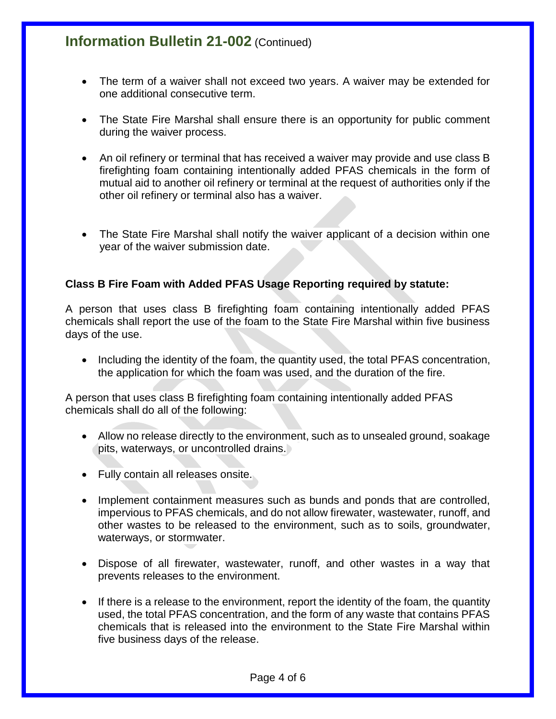- The term of a waiver shall not exceed two years. A waiver may be extended for one additional consecutive term.
- The State Fire Marshal shall ensure there is an opportunity for public comment during the waiver process.
- An oil refinery or terminal that has received a waiver may provide and use class B firefighting foam containing intentionally added PFAS chemicals in the form of mutual aid to another oil refinery or terminal at the request of authorities only if the other oil refinery or terminal also has a waiver.
- The State Fire Marshal shall notify the waiver applicant of a decision within one year of the waiver submission date.

### **Class B Fire Foam with Added PFAS Usage Reporting required by statute:**

A person that uses class B firefighting foam containing intentionally added PFAS chemicals shall report the use of the foam to the State Fire Marshal within five business days of the use.

• Including the identity of the foam, the quantity used, the total PFAS concentration, the application for which the foam was used, and the duration of the fire.

A person that uses class B firefighting foam containing intentionally added PFAS chemicals shall do all of the following:

- Allow no release directly to the environment, such as to unsealed ground, soakage pits, waterways, or uncontrolled drains.
- Fully contain all releases onsite.
- Implement containment measures such as bunds and ponds that are controlled, impervious to PFAS chemicals, and do not allow firewater, wastewater, runoff, and other wastes to be released to the environment, such as to soils, groundwater, waterways, or stormwater.
- Dispose of all firewater, wastewater, runoff, and other wastes in a way that prevents releases to the environment.
- If there is a release to the environment, report the identity of the foam, the quantity used, the total PFAS concentration, and the form of any waste that contains PFAS chemicals that is released into the environment to the State Fire Marshal within five business days of the release.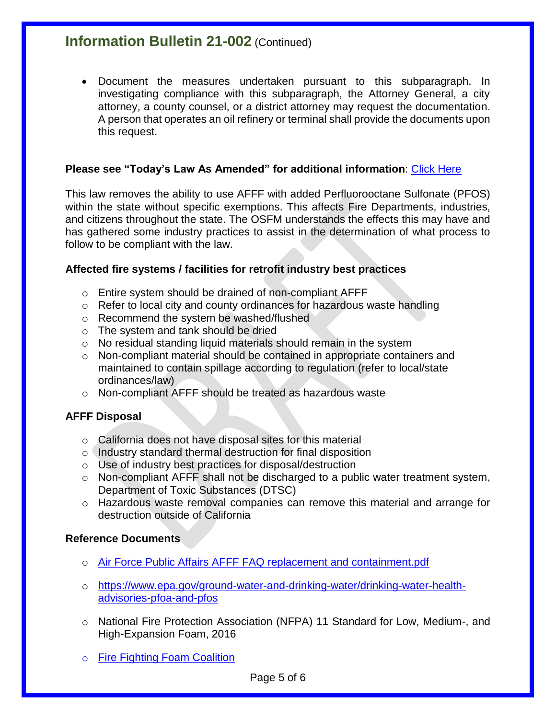Document the measures undertaken pursuant to this subparagraph. In investigating compliance with this subparagraph, the Attorney General, a city attorney, a county counsel, or a district attorney may request the documentation. A person that operates an oil refinery or terminal shall provide the documents upon this request.

### **Please see "Today's Law As Amended" for additional information**: [Click Here](https://leginfo.legislature.ca.gov/faces/billCompareClient.xhtml?bill_id=201920200SB1044&showamends=false)

This law removes the ability to use AFFF with added Perfluorooctane Sulfonate (PFOS) within the state without specific exemptions. This affects Fire Departments, industries, and citizens throughout the state. The OSFM understands the effects this may have and has gathered some industry practices to assist in the determination of what process to follow to be compliant with the law.

#### **Affected fire systems / facilities for retrofit industry best practices**

- o Entire system should be drained of non-compliant AFFF
- o Refer to local city and county ordinances for hazardous waste handling
- o Recommend the system be washed/flushed
- o The system and tank should be dried
- o No residual standing liquid materials should remain in the system
- o Non-compliant material should be contained in appropriate containers and maintained to contain spillage according to regulation (refer to local/state ordinances/law)
- o Non-compliant AFFF should be treated as hazardous waste

#### **AFFF Disposal**

- o California does not have disposal sites for this material
- o Industry standard thermal destruction for final disposition
- o Use of industry best practices for disposal/destruction
- $\circ$  Non-compliant AFFF shall not be discharged to a public water treatment system, Department of Toxic Substances (DTSC)
- o Hazardous waste removal companies can remove this material and arrange for destruction outside of California

#### **Reference Documents**

- o [Air Force Public Affairs AFFF FAQ replacement and containment.pdf](https://www.afcec.af.mil/Portals/17/documents/Environment/AFFF%20FAQ%20replacement%20and%20containment.pdf?ver=2017-04-14-154056-060)
- o [https://www.epa.gov/ground-water-and-drinking-water/drinking-water-health](https://www.epa.gov/ground-water-and-drinking-water/drinking-water-health-advisories-pfoa-and-pfos)[advisories-pfoa-and-pfos](https://www.epa.gov/ground-water-and-drinking-water/drinking-water-health-advisories-pfoa-and-pfos)
- o National Fire Protection Association (NFPA) 11 Standard for Low, Medium-, and High-Expansion Foam, 2016
- o [Fire Fighting Foam Coalition](https://docs.wixstatic.com/ugd/331cad_188bf72c523c46adac082278ac019a7b.pdf)